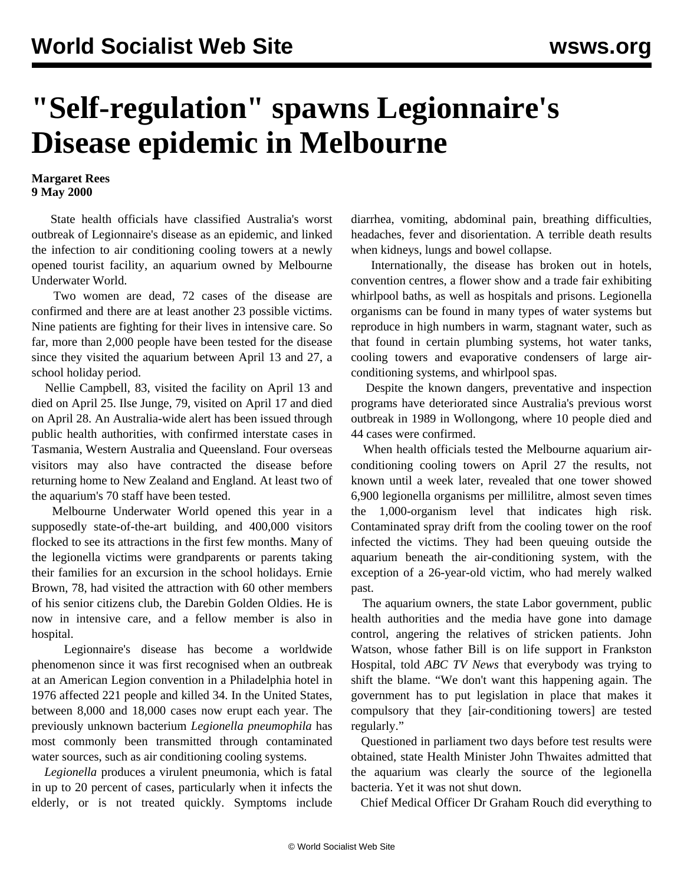## **"Self-regulation" spawns Legionnaire's Disease epidemic in Melbourne**

## **Margaret Rees 9 May 2000**

 State health officials have classified Australia's worst outbreak of Legionnaire's disease as an epidemic, and linked the infection to air conditioning cooling towers at a newly opened tourist facility, an aquarium owned by Melbourne Underwater World.

 Two women are dead, 72 cases of the disease are confirmed and there are at least another 23 possible victims. Nine patients are fighting for their lives in intensive care. So far, more than 2,000 people have been tested for the disease since they visited the aquarium between April 13 and 27, a school holiday period.

 Nellie Campbell, 83, visited the facility on April 13 and died on April 25. Ilse Junge, 79, visited on April 17 and died on April 28. An Australia-wide alert has been issued through public health authorities, with confirmed interstate cases in Tasmania, Western Australia and Queensland. Four overseas visitors may also have contracted the disease before returning home to New Zealand and England. At least two of the aquarium's 70 staff have been tested.

 Melbourne Underwater World opened this year in a supposedly state-of-the-art building, and 400,000 visitors flocked to see its attractions in the first few months. Many of the legionella victims were grandparents or parents taking their families for an excursion in the school holidays. Ernie Brown, 78, had visited the attraction with 60 other members of his senior citizens club, the Darebin Golden Oldies. He is now in intensive care, and a fellow member is also in hospital.

 Legionnaire's disease has become a worldwide phenomenon since it was first recognised when an outbreak at an American Legion convention in a Philadelphia hotel in 1976 affected 221 people and killed 34. In the United States, between 8,000 and 18,000 cases now erupt each year. The previously unknown bacterium *Legionella pneumophila* has most commonly been transmitted through contaminated water sources, such as air conditioning cooling systems.

 *Legionella* produces a virulent pneumonia, which is fatal in up to 20 percent of cases, particularly when it infects the elderly, or is not treated quickly. Symptoms include diarrhea, vomiting, abdominal pain, breathing difficulties, headaches, fever and disorientation. A terrible death results when kidneys, lungs and bowel collapse.

 Internationally, the disease has broken out in hotels, convention centres, a flower show and a trade fair exhibiting whirlpool baths, as well as hospitals and prisons. Legionella organisms can be found in many types of water systems but reproduce in high numbers in warm, stagnant water, such as that found in certain plumbing systems, hot water tanks, cooling towers and evaporative condensers of large airconditioning systems, and whirlpool spas.

 Despite the known dangers, preventative and inspection programs have deteriorated since Australia's previous worst outbreak in 1989 in Wollongong, where 10 people died and 44 cases were confirmed.

 When health officials tested the Melbourne aquarium airconditioning cooling towers on April 27 the results, not known until a week later, revealed that one tower showed 6,900 legionella organisms per millilitre, almost seven times the 1,000-organism level that indicates high risk. Contaminated spray drift from the cooling tower on the roof infected the victims. They had been queuing outside the aquarium beneath the air-conditioning system, with the exception of a 26-year-old victim, who had merely walked past.

 The aquarium owners, the state Labor government, public health authorities and the media have gone into damage control, angering the relatives of stricken patients. John Watson, whose father Bill is on life support in Frankston Hospital, told *ABC TV News* that everybody was trying to shift the blame. "We don't want this happening again. The government has to put legislation in place that makes it compulsory that they [air-conditioning towers] are tested regularly."

 Questioned in parliament two days before test results were obtained, state Health Minister John Thwaites admitted that the aquarium was clearly the source of the legionella bacteria. Yet it was not shut down.

Chief Medical Officer Dr Graham Rouch did everything to